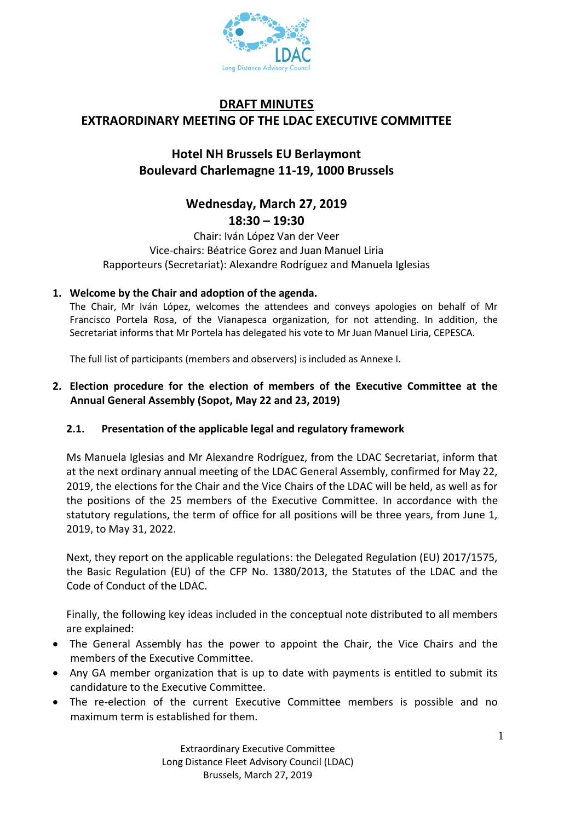

# **DRAFT MINUTES EXTRAORDINARY MEETING OF THE LDAC EXECUTIVE COMMITTEE**

## **Hotel NH Brussels EU Berlaymont Boulevard Charlemagne 11-19, 1000 Brussels**

## **Wednesday, March 27, 2019 18:30 – 19:30**

Chair: Iván López Van der Veer Vice-chairs: Béatrice Gorez and Juan Manuel Liria Rapporteurs (Secretariat): Alexandre Rodríguez and Manuela Iglesias

## **1. Welcome by the Chair and adoption of the agenda.**

The Chair, Mr Iván López, welcomes the attendees and conveys apologies on behalf of Mr Francisco Portela Rosa, of the Vianapesca organization, for not attending. In addition, the Secretariat informs that Mr Portela has delegated his vote to Mr Juan Manuel Liria, CEPESCA.

The full list of participants (members and observers) is included as Annexe I.

## **2. Election procedure for the election of members of the Executive Committee at the Annual General Assembly (Sopot, May 22 and 23, 2019)**

### **2.1. Presentation of the applicable legal and regulatory framework**

Ms Manuela Iglesias and Mr Alexandre Rodríguez, from the LDAC Secretariat, inform that at the next ordinary annual meeting of the LDAC General Assembly, confirmed for May 22, 2019, the elections for the Chair and the Vice Chairs of the LDAC will be held, as well as for the positions of the 25 members of the Executive Committee. In accordance with the statutory regulations, the term of office for all positions will be three years, from June 1, 2019, to May 31, 2022.

Next, they report on the applicable regulations: the Delegated Regulation (EU) 2017/1575, the Basic Regulation (EU) of the CFP No. 1380/2013, the Statutes of the LDAC and the Code of Conduct of the LDAC.

Finally, the following key ideas included in the conceptual note distributed to all members are explained:

- The General Assembly has the power to appoint the Chair, the Vice Chairs and the members of the Executive Committee.
- Any GA member organization that is up to date with payments is entitled to submit its candidature to the Executive Committee.
- The re-election of the current Executive Committee members is possible and no maximum term is established for them.

Extraordinary Executive Committee Long Distance Fleet Advisory Council (LDAC) Brussels, March 27, 2019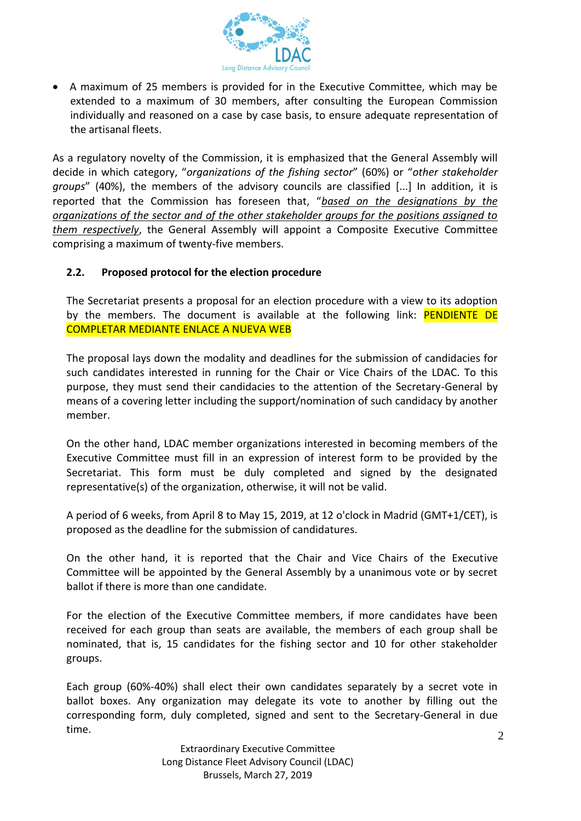

 A maximum of 25 members is provided for in the Executive Committee, which may be extended to a maximum of 30 members, after consulting the European Commission individually and reasoned on a case by case basis, to ensure adequate representation of the artisanal fleets.

As a regulatory novelty of the Commission, it is emphasized that the General Assembly will decide in which category, "*organizations of the fishing sector*" (60%) or "*other stakeholder groups*" (40%), the members of the advisory councils are classified [...] In addition, it is reported that the Commission has foreseen that, "*based on the designations by the organizations of the sector and of the other stakeholder groups for the positions assigned to them respectively*, the General Assembly will appoint a Composite Executive Committee comprising a maximum of twenty-five members.

#### **2.2. Proposed protocol for the election procedure**

The Secretariat presents a proposal for an election procedure with a view to its adoption by the members. The document is available at the following link: PENDIENTE DE COMPLETAR MEDIANTE ENLACE A NUEVA WEB

The proposal lays down the modality and deadlines for the submission of candidacies for such candidates interested in running for the Chair or Vice Chairs of the LDAC. To this purpose, they must send their candidacies to the attention of the Secretary-General by means of a covering letter including the support/nomination of such candidacy by another member.

On the other hand, LDAC member organizations interested in becoming members of the Executive Committee must fill in an expression of interest form to be provided by the Secretariat. This form must be duly completed and signed by the designated representative(s) of the organization, otherwise, it will not be valid.

A period of 6 weeks, from April 8 to May 15, 2019, at 12 o'clock in Madrid (GMT+1/CET), is proposed as the deadline for the submission of candidatures.

On the other hand, it is reported that the Chair and Vice Chairs of the Executive Committee will be appointed by the General Assembly by a unanimous vote or by secret ballot if there is more than one candidate.

For the election of the Executive Committee members, if more candidates have been received for each group than seats are available, the members of each group shall be nominated, that is, 15 candidates for the fishing sector and 10 for other stakeholder groups.

Each group (60%-40%) shall elect their own candidates separately by a secret vote in ballot boxes. Any organization may delegate its vote to another by filling out the corresponding form, duly completed, signed and sent to the Secretary-General in due time.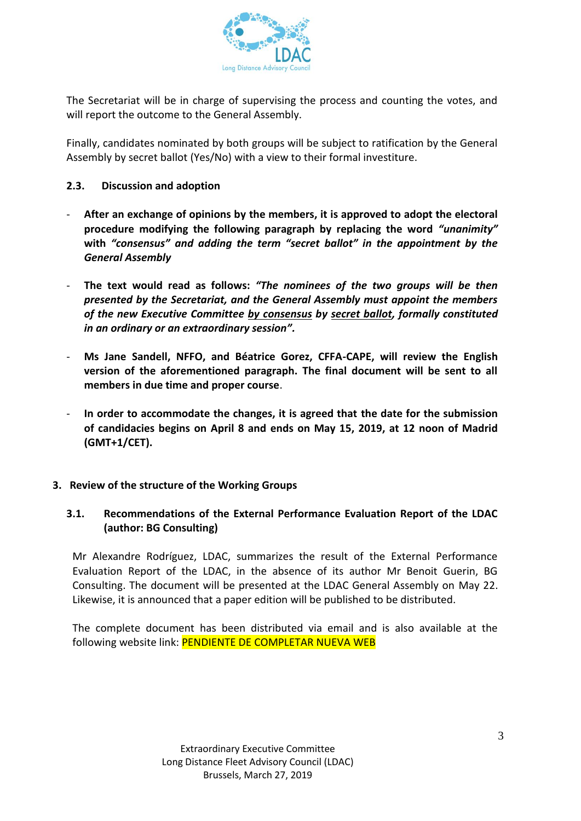

The Secretariat will be in charge of supervising the process and counting the votes, and will report the outcome to the General Assembly.

Finally, candidates nominated by both groups will be subject to ratification by the General Assembly by secret ballot (Yes/No) with a view to their formal investiture.

### **2.3. Discussion and adoption**

- **After an exchange of opinions by the members, it is approved to adopt the electoral procedure modifying the following paragraph by replacing the word** *"unanimity"*  **with** *"consensus" and adding the term "secret ballot" in the appointment by the General Assembly*
- **The text would read as follows:** *"The nominees of the two groups will be then presented by the Secretariat, and the General Assembly must appoint the members of the new Executive Committee by consensus by secret ballot, formally constituted in an ordinary or an extraordinary session".*
- **Ms Jane Sandell, NFFO, and Béatrice Gorez, CFFA-CAPE, will review the English version of the aforementioned paragraph. The final document will be sent to all members in due time and proper course**.
- **In order to accommodate the changes, it is agreed that the date for the submission of candidacies begins on April 8 and ends on May 15, 2019, at 12 noon of Madrid (GMT+1/CET).**

### **3. Review of the structure of the Working Groups**

## **3.1. Recommendations of the External Performance Evaluation Report of the LDAC (author: BG Consulting)**

Mr Alexandre Rodríguez, LDAC, summarizes the result of the External Performance Evaluation Report of the LDAC, in the absence of its author Mr Benoit Guerin, BG Consulting. The document will be presented at the LDAC General Assembly on May 22. Likewise, it is announced that a paper edition will be published to be distributed.

The complete document has been distributed via email and is also available at the following website link: PENDIENTE DE COMPLETAR NUEVA WEB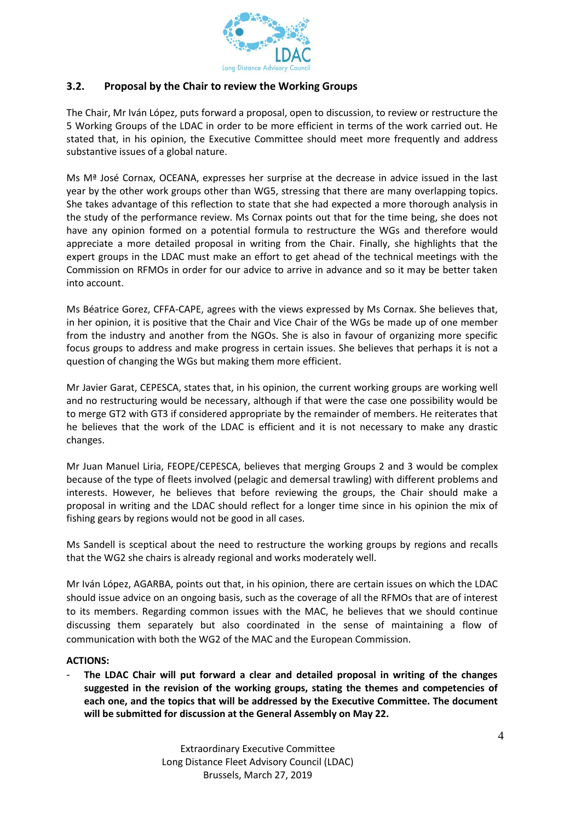

#### **3.2. Proposal by the Chair to review the Working Groups**

The Chair, Mr Iván López, puts forward a proposal, open to discussion, to review or restructure the 5 Working Groups of the LDAC in order to be more efficient in terms of the work carried out. He stated that, in his opinion, the Executive Committee should meet more frequently and address substantive issues of a global nature.

Ms Mª José Cornax, OCEANA, expresses her surprise at the decrease in advice issued in the last year by the other work groups other than WG5, stressing that there are many overlapping topics. She takes advantage of this reflection to state that she had expected a more thorough analysis in the study of the performance review. Ms Cornax points out that for the time being, she does not have any opinion formed on a potential formula to restructure the WGs and therefore would appreciate a more detailed proposal in writing from the Chair. Finally, she highlights that the expert groups in the LDAC must make an effort to get ahead of the technical meetings with the Commission on RFMOs in order for our advice to arrive in advance and so it may be better taken into account.

Ms Béatrice Gorez, CFFA-CAPE, agrees with the views expressed by Ms Cornax. She believes that, in her opinion, it is positive that the Chair and Vice Chair of the WGs be made up of one member from the industry and another from the NGOs. She is also in favour of organizing more specific focus groups to address and make progress in certain issues. She believes that perhaps it is not a question of changing the WGs but making them more efficient.

Mr Javier Garat, CEPESCA, states that, in his opinion, the current working groups are working well and no restructuring would be necessary, although if that were the case one possibility would be to merge GT2 with GT3 if considered appropriate by the remainder of members. He reiterates that he believes that the work of the LDAC is efficient and it is not necessary to make any drastic changes.

Mr Juan Manuel Liria, FEOPE/CEPESCA, believes that merging Groups 2 and 3 would be complex because of the type of fleets involved (pelagic and demersal trawling) with different problems and interests. However, he believes that before reviewing the groups, the Chair should make a proposal in writing and the LDAC should reflect for a longer time since in his opinion the mix of fishing gears by regions would not be good in all cases.

Ms Sandell is sceptical about the need to restructure the working groups by regions and recalls that the WG2 she chairs is already regional and works moderately well.

Mr Iván López, AGARBA, points out that, in his opinion, there are certain issues on which the LDAC should issue advice on an ongoing basis, such as the coverage of all the RFMOs that are of interest to its members. Regarding common issues with the MAC, he believes that we should continue discussing them separately but also coordinated in the sense of maintaining a flow of communication with both the WG2 of the MAC and the European Commission.

#### **ACTIONS:**

- **The LDAC Chair will put forward a clear and detailed proposal in writing of the changes suggested in the revision of the working groups, stating the themes and competencies of each one, and the topics that will be addressed by the Executive Committee. The document will be submitted for discussion at the General Assembly on May 22.**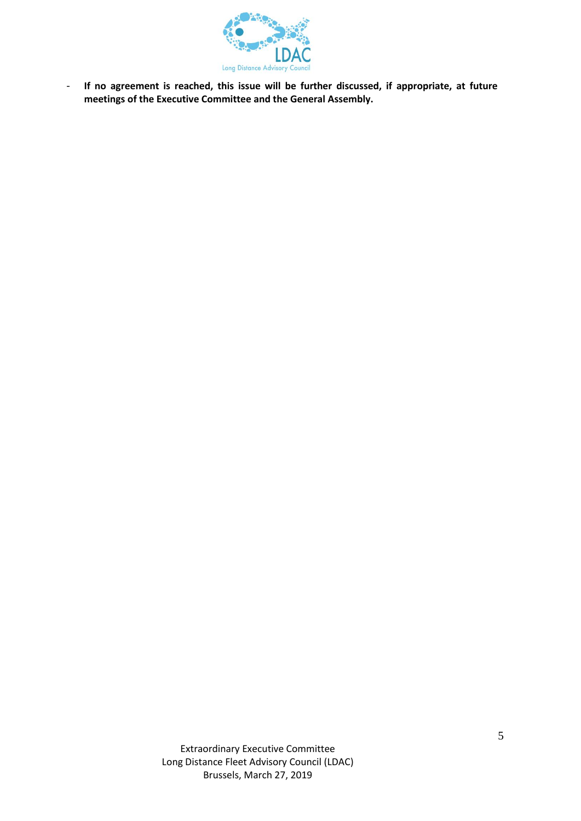

- **If no agreement is reached, this issue will be further discussed, if appropriate, at future meetings of the Executive Committee and the General Assembly.**